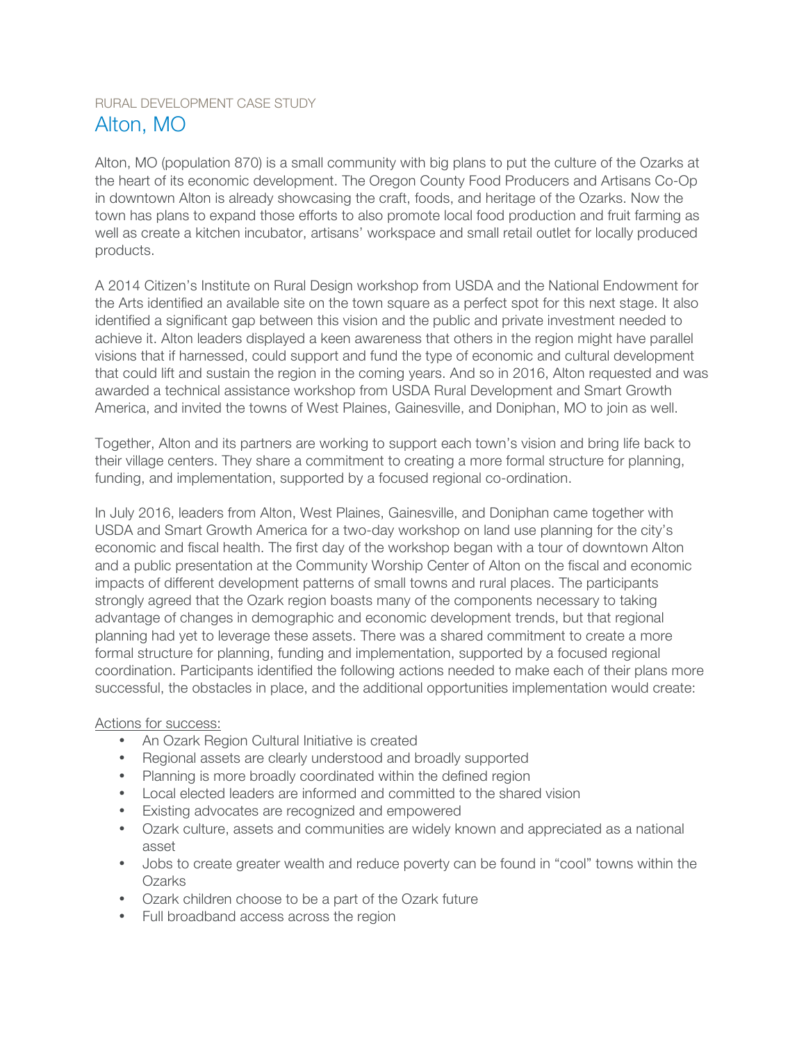# RURAL DEVELOPMENT CASE STUDY Alton, MO

Alton, MO (population 870) is a small community with big plans to put the culture of the Ozarks at the heart of its economic development. The Oregon County Food Producers and Artisans Co-Op in downtown Alton is already showcasing the craft, foods, and heritage of the Ozarks. Now the town has plans to expand those efforts to also promote local food production and fruit farming as well as create a kitchen incubator, artisans' workspace and small retail outlet for locally produced products.

A 2014 Citizen's Institute on Rural Design workshop from USDA and the National Endowment for the Arts identified an available site on the town square as a perfect spot for this next stage. It also identified a significant gap between this vision and the public and private investment needed to achieve it. Alton leaders displayed a keen awareness that others in the region might have parallel visions that if harnessed, could support and fund the type of economic and cultural development that could lift and sustain the region in the coming years. And so in 2016, Alton requested and was awarded a technical assistance workshop from USDA Rural Development and Smart Growth America, and invited the towns of West Plaines, Gainesville, and Doniphan, MO to join as well.

Together, Alton and its partners are working to support each town's vision and bring life back to their village centers. They share a commitment to creating a more formal structure for planning, funding, and implementation, supported by a focused regional co-ordination.

In July 2016, leaders from Alton, West Plaines, Gainesville, and Doniphan came together with USDA and Smart Growth America for a two-day workshop on land use planning for the city's economic and fiscal health. The first day of the workshop began with a tour of downtown Alton and a public presentation at the Community Worship Center of Alton on the fiscal and economic impacts of different development patterns of small towns and rural places. The participants strongly agreed that the Ozark region boasts many of the components necessary to taking advantage of changes in demographic and economic development trends, but that regional planning had yet to leverage these assets. There was a shared commitment to create a more formal structure for planning, funding and implementation, supported by a focused regional coordination. Participants identified the following actions needed to make each of their plans more successful, the obstacles in place, and the additional opportunities implementation would create:

## Actions for success:

- An Ozark Region Cultural Initiative is created
- Regional assets are clearly understood and broadly supported
- Planning is more broadly coordinated within the defined region
- Local elected leaders are informed and committed to the shared vision
- Existing advocates are recognized and empowered
- Ozark culture, assets and communities are widely known and appreciated as a national asset
- Jobs to create greater wealth and reduce poverty can be found in "cool" towns within the **Ozarks**
- Ozark children choose to be a part of the Ozark future
- Full broadband access across the region